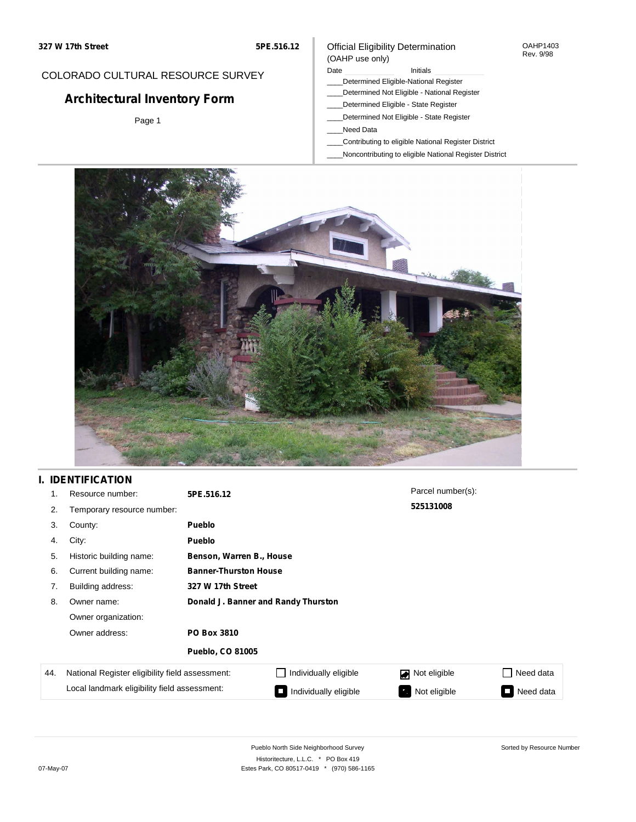#### OAHP1403 Rev. 9/98

### COLORADO CULTURAL RESOURCE SURVEY

# **Architectural Inventory Form**

Page 1

# (OAHP use only)

Date **Initials** Initials

Official Eligibility Determination

- \_\_\_\_Determined Eligible-National Register \_\_\_\_Determined Not Eligible - National Register
- \_\_\_\_Determined Eligible State Register
- \_\_\_\_Determined Not Eligible State Register
- \_\_\_\_Need Data
- \_\_\_\_Contributing to eligible National Register District
- \_\_\_\_Noncontributing to eligible National Register District



### **I. IDENTIFICATION**

| 1.  | Resource number:                                | 5PE.516.12                          |                          | Parcel number(s): |           |  |  |
|-----|-------------------------------------------------|-------------------------------------|--------------------------|-------------------|-----------|--|--|
| 2.  | Temporary resource number:                      |                                     |                          | 525131008         |           |  |  |
| 3.  | County:                                         | <b>Pueblo</b>                       |                          |                   |           |  |  |
| 4.  | City:                                           | <b>Pueblo</b>                       |                          |                   |           |  |  |
| 5.  | Historic building name:                         |                                     | Benson, Warren B., House |                   |           |  |  |
| 6.  | Current building name:                          | <b>Banner-Thurston House</b>        |                          |                   |           |  |  |
| 7.  | Building address:                               | 327 W 17th Street                   |                          |                   |           |  |  |
| 8.  | Owner name:                                     | Donald J. Banner and Randy Thurston |                          |                   |           |  |  |
|     | Owner organization:                             |                                     |                          |                   |           |  |  |
|     | Owner address:                                  | PO Box 3810                         |                          |                   |           |  |  |
|     |                                                 | <b>Pueblo, CO 81005</b>             |                          |                   |           |  |  |
| 44. | National Register eligibility field assessment: |                                     | Individually eligible    | Not eligible      | Need data |  |  |
|     | Local landmark eligibility field assessment:    |                                     | Individually eligible    | Not eligible      | Need data |  |  |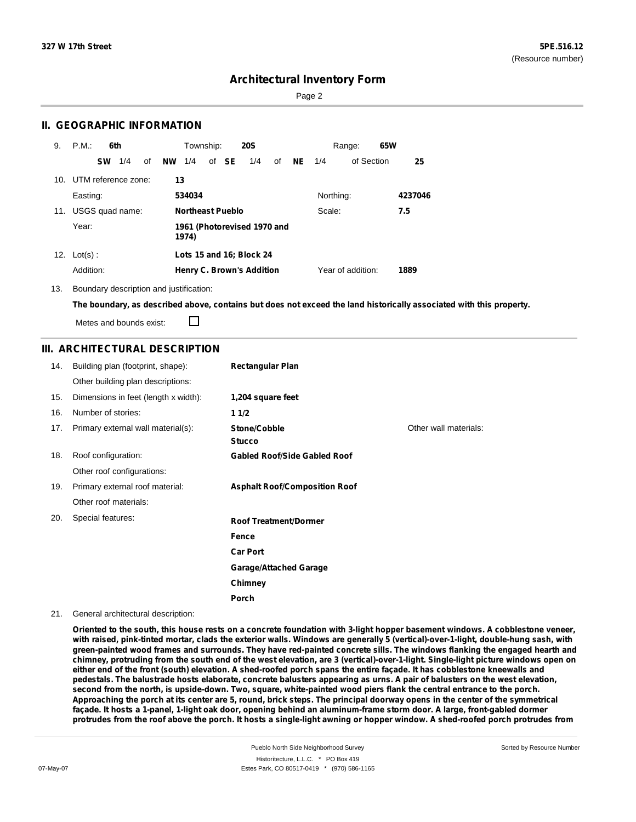Page 2

### **II. GEOGRAPHIC INFORMATION**

| 9.  | P.M.                | 6th |    |           | Township:               |       | <b>20S</b>                       |    |    |           | Range:            | 65W |         |
|-----|---------------------|-----|----|-----------|-------------------------|-------|----------------------------------|----|----|-----------|-------------------|-----|---------|
|     | <b>SW</b>           | 1/4 | of | <b>NW</b> | 1/4                     | of SE | 1/4                              | of | NE | 1/4       | of Section        |     | 25      |
| 10. | UTM reference zone: |     |    | 13        |                         |       |                                  |    |    |           |                   |     |         |
|     | Easting:            |     |    |           | 534034                  |       |                                  |    |    | Northing: |                   |     | 4237046 |
| 11. | USGS quad name:     |     |    |           | <b>Northeast Pueblo</b> |       |                                  |    |    | Scale:    |                   |     | 7.5     |
|     | Year:               |     |    |           | 1974)                   |       | 1961 (Photorevised 1970 and      |    |    |           |                   |     |         |
|     | 12. $Lot(s)$ :      |     |    |           |                         |       | Lots 15 and 16; Block 24         |    |    |           |                   |     |         |
|     | Addition:           |     |    |           |                         |       | <b>Henry C. Brown's Addition</b> |    |    |           | Year of addition: |     | 1889    |

13. Boundary description and justification:

The boundary, as described above, contains but does not exceed the land historically associated with this property.

Metes and bounds exist:

П

### **III. ARCHITECTURAL DESCRIPTION**

| 14. | Building plan (footprint, shape):    | <b>Rectangular Plan</b>              |                       |
|-----|--------------------------------------|--------------------------------------|-----------------------|
|     | Other building plan descriptions:    |                                      |                       |
| 15. | Dimensions in feet (length x width): | 1,204 square feet                    |                       |
| 16. | Number of stories:                   | 11/2                                 |                       |
| 17. | Primary external wall material(s):   | Stone/Cobble<br><b>Stucco</b>        | Other wall materials: |
| 18. | Roof configuration:                  | <b>Gabled Roof/Side Gabled Roof</b>  |                       |
|     | Other roof configurations:           |                                      |                       |
| 19. | Primary external roof material:      | <b>Asphalt Roof/Composition Roof</b> |                       |
|     | Other roof materials:                |                                      |                       |
| 20. | Special features:                    | <b>Roof Treatment/Dormer</b>         |                       |
|     |                                      | Fence                                |                       |
|     |                                      | <b>Car Port</b>                      |                       |
|     |                                      | <b>Garage/Attached Garage</b>        |                       |
|     |                                      | Chimney                              |                       |
|     |                                      | Porch                                |                       |

21. General architectural description:

Oriented to the south, this house rests on a concrete foundation with 3-light hopper basement windows. A cobblestone veneer, with raised, pink-tinted mortar, clads the exterior walls. Windows are generally 5 (vertical)-over-1-light, double-hung sash, with green-painted wood frames and surrounds. They have red-painted concrete sills. The windows flanking the engaged hearth and chimney, protruding from the south end of the west elevation, are 3 (vertical)-over-1-light. Single-light picture windows open on either end of the front (south) elevation. A shed-roofed porch spans the entire façade. It has cobblestone kneewalls and pedestals. The balustrade hosts elaborate, concrete balusters appearing as urns. A pair of balusters on the west elevation, second from the north, is upside-down. Two, square, white-painted wood piers flank the central entrance to the porch. Approaching the porch at its center are 5, round, brick steps. The principal doorway opens in the center of the symmetrical façade. It hosts a 1-panel, 1-light oak door, opening behind an aluminum-frame storm door. A large, front-gabled dormer protrudes from the roof above the porch. It hosts a single-light awning or hopper window. A shed-roofed porch protrudes from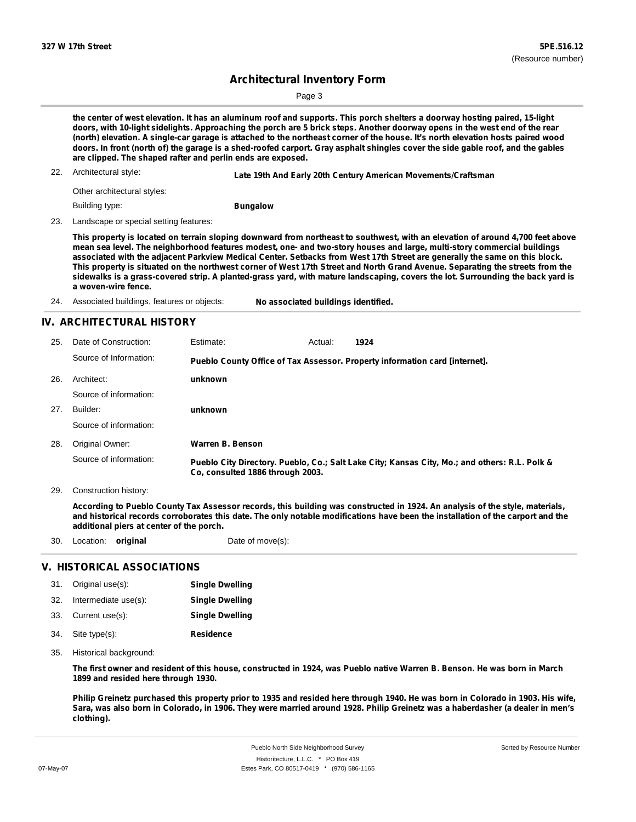Page 3

the center of west elevation. It has an aluminum roof and supports. This porch shelters a doorway hosting paired, 15-light doors, with 10-light sidelights. Approaching the porch are 5 brick steps. Another doorway opens in the west end of the rear (north) elevation. A single-car garage is attached to the northeast corner of the house. It's north elevation hosts paired wood doors. In front (north of) the garage is a shed-roofed carport. Gray asphalt shingles cover the side gable roof, and the gables **are clipped. The shaped rafter and perlin ends are exposed.**

22. Architectural style:

**Late 19th And Early 20th Century American Movements/Craftsman**

Other architectural styles:

Building type:

**Bungalow**

23. Landscape or special setting features:

This property is located on terrain sloping downward from northeast to southwest, with an elevation of around 4,700 feet above mean sea level. The neighborhood features modest, one- and two-story houses and large, multi-story commercial buildings associated with the adjacent Parkview Medical Center. Setbacks from West 17th Street are generally the same on this block. This property is situated on the northwest corner of West 17th Street and North Grand Avenue. Separating the streets from the sidewalks is a grass-covered strip. A planted-grass yard, with mature landscaping, covers the lot. Surrounding the back yard is **a woven-wire fence.**

24. Associated buildings, features or objects: **No associated buildings identified.**

### **IV. ARCHITECTURAL HISTORY**

| 25. | Date of Construction:  | Estimate:                        | Actual: | 1924                                                                                          |
|-----|------------------------|----------------------------------|---------|-----------------------------------------------------------------------------------------------|
|     | Source of Information: |                                  |         | Pueblo County Office of Tax Assessor. Property information card [internet].                   |
| 26. | Architect:             | unknown                          |         |                                                                                               |
|     | Source of information: |                                  |         |                                                                                               |
| 27. | Builder:               | unknown                          |         |                                                                                               |
|     | Source of information: |                                  |         |                                                                                               |
| 28. | Original Owner:        | Warren B. Benson                 |         |                                                                                               |
|     | Source of information: | Co, consulted 1886 through 2003. |         | Pueblo City Directory. Pueblo, Co.; Salt Lake City; Kansas City, Mo.; and others: R.L. Polk & |

29. Construction history:

According to Pueblo County Tax Assessor records, this building was constructed in 1924. An analysis of the style, materials, and historical records corroborates this date. The only notable modifications have been the installation of the carport and the **additional piers at center of the porch.**

|  | 30. Location: <b>original</b> |  | Date of move(s): |
|--|-------------------------------|--|------------------|
|--|-------------------------------|--|------------------|

### **V. HISTORICAL ASSOCIATIONS**

|     | 31. Original use(s): | <b>Single Dwelling</b> |
|-----|----------------------|------------------------|
| 32. | Intermediate use(s): | <b>Single Dwelling</b> |
|     | 33. Current use(s):  | <b>Single Dwelling</b> |
|     | 34. Site type(s):    | Residence              |

35. Historical background:

The first owner and resident of this house, constructed in 1924, was Pueblo native Warren B. Benson. He was born in March **1899 and resided here through 1930.**

Philip Greinetz purchased this property prior to 1935 and resided here through 1940. He was born in Colorado in 1903. His wife, Sara, was also born in Colorado, in 1906. They were married around 1928. Philip Greinetz was a haberdasher (a dealer in men's **clothing).**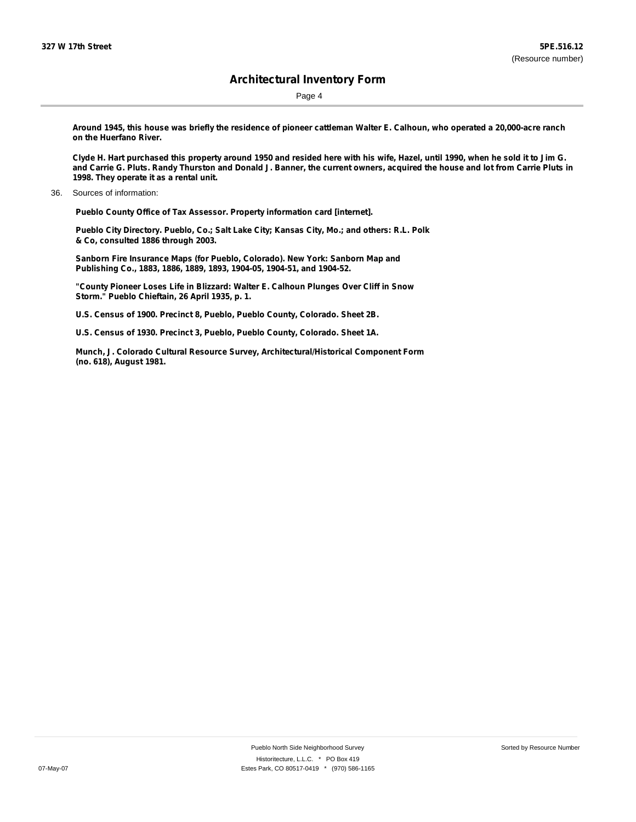Page 4

Around 1945, this house was briefly the residence of pioneer cattleman Walter E. Calhoun, who operated a 20,000-acre ranch **on the Huerfano River.**

Clyde H. Hart purchased this property around 1950 and resided here with his wife, Hazel, until 1990, when he sold it to Jim G. and Carrie G. Pluts. Randy Thurston and Donald J. Banner, the current owners, acquired the house and lot from Carrie Pluts in **1998. They operate it as a rental unit.**

**Pueblo County Office of Tax Assessor. Property information card [internet].**

**Pueblo City Directory. Pueblo, Co.; Salt Lake City; Kansas City, Mo.; and others: R.L. Polk & Co, consulted 1886 through 2003.**

**Sanborn Fire Insurance Maps (for Pueblo, Colorado). New York: Sanborn Map and Publishing Co., 1883, 1886, 1889, 1893, 1904-05, 1904-51, and 1904-52.**

**"County Pioneer Loses Life in Blizzard: Walter E. Calhoun Plunges Over Cliff in Snow Storm." Pueblo Chieftain, 26 April 1935, p. 1.**

**U.S. Census of 1900. Precinct 8, Pueblo, Pueblo County, Colorado. Sheet 2B.**

**U.S. Census of 1930. Precinct 3, Pueblo, Pueblo County, Colorado. Sheet 1A.**

**Munch, J. Colorado Cultural Resource Survey, Architectural/Historical Component Form (no. 618), August 1981.**

<sup>36.</sup> Sources of information: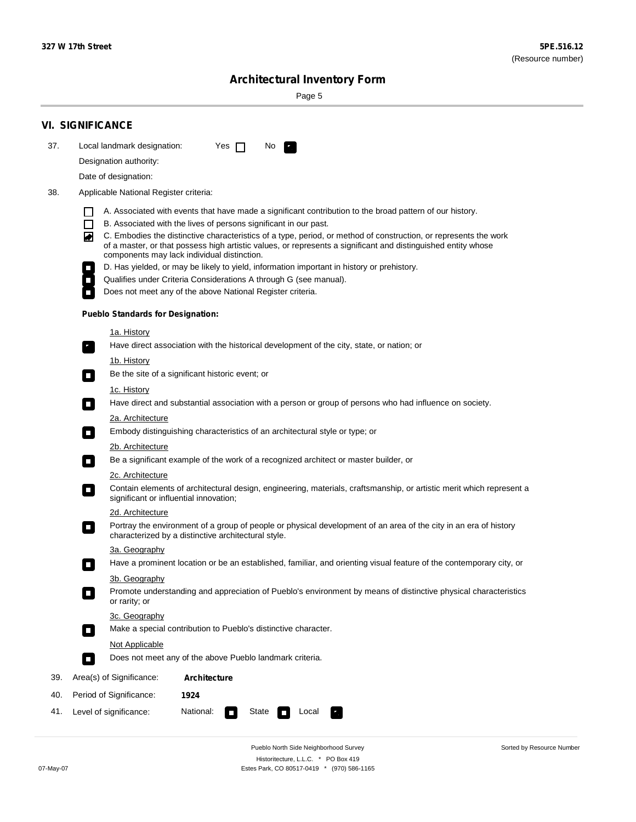Sorted by Resource Number

## **Architectural Inventory Form**

Page 5

|     | <b>VI. SIGNIFICANCE</b>                                                                                                                                                                                                                                                                                                                                                                                                                                                                                                                                                                                                                                                                                                                                                                                                                                                                                                                                                                                                                                                                                                                                                                                                                                                                                                                                                                                                                                                                                                                                                                                                                                                                                                                                                                                                                                                                                                                                                                                                                                                                                                                                                                                                                        |
|-----|------------------------------------------------------------------------------------------------------------------------------------------------------------------------------------------------------------------------------------------------------------------------------------------------------------------------------------------------------------------------------------------------------------------------------------------------------------------------------------------------------------------------------------------------------------------------------------------------------------------------------------------------------------------------------------------------------------------------------------------------------------------------------------------------------------------------------------------------------------------------------------------------------------------------------------------------------------------------------------------------------------------------------------------------------------------------------------------------------------------------------------------------------------------------------------------------------------------------------------------------------------------------------------------------------------------------------------------------------------------------------------------------------------------------------------------------------------------------------------------------------------------------------------------------------------------------------------------------------------------------------------------------------------------------------------------------------------------------------------------------------------------------------------------------------------------------------------------------------------------------------------------------------------------------------------------------------------------------------------------------------------------------------------------------------------------------------------------------------------------------------------------------------------------------------------------------------------------------------------------------|
| 37. | Local landmark designation:<br>Yes $\Box$<br>No.                                                                                                                                                                                                                                                                                                                                                                                                                                                                                                                                                                                                                                                                                                                                                                                                                                                                                                                                                                                                                                                                                                                                                                                                                                                                                                                                                                                                                                                                                                                                                                                                                                                                                                                                                                                                                                                                                                                                                                                                                                                                                                                                                                                               |
|     | Designation authority:                                                                                                                                                                                                                                                                                                                                                                                                                                                                                                                                                                                                                                                                                                                                                                                                                                                                                                                                                                                                                                                                                                                                                                                                                                                                                                                                                                                                                                                                                                                                                                                                                                                                                                                                                                                                                                                                                                                                                                                                                                                                                                                                                                                                                         |
|     | Date of designation:                                                                                                                                                                                                                                                                                                                                                                                                                                                                                                                                                                                                                                                                                                                                                                                                                                                                                                                                                                                                                                                                                                                                                                                                                                                                                                                                                                                                                                                                                                                                                                                                                                                                                                                                                                                                                                                                                                                                                                                                                                                                                                                                                                                                                           |
| 38. | Applicable National Register criteria:                                                                                                                                                                                                                                                                                                                                                                                                                                                                                                                                                                                                                                                                                                                                                                                                                                                                                                                                                                                                                                                                                                                                                                                                                                                                                                                                                                                                                                                                                                                                                                                                                                                                                                                                                                                                                                                                                                                                                                                                                                                                                                                                                                                                         |
|     | A. Associated with events that have made a significant contribution to the broad pattern of our history.<br>B. Associated with the lives of persons significant in our past.<br>C. Embodies the distinctive characteristics of a type, period, or method of construction, or represents the work<br>◙<br>of a master, or that possess high artistic values, or represents a significant and distinguished entity whose<br>components may lack individual distinction.<br>D. Has yielded, or may be likely to yield, information important in history or prehistory.<br>Qualifies under Criteria Considerations A through G (see manual).<br>Does not meet any of the above National Register criteria.<br><b>Pueblo Standards for Designation:</b><br><u>1a. History</u><br>Have direct association with the historical development of the city, state, or nation; or<br>$\overline{\phantom{a}}$ .<br><u>1b. History</u><br>Be the site of a significant historic event; or<br>$\Box$<br>1c. History<br>Have direct and substantial association with a person or group of persons who had influence on society.<br>$\sim$<br>2a. Architecture<br>Embody distinguishing characteristics of an architectural style or type; or<br>$\overline{\phantom{a}}$<br>2b. Architecture<br>Be a significant example of the work of a recognized architect or master builder, or<br>$\overline{\phantom{a}}$<br>2c. Architecture<br>Contain elements of architectural design, engineering, materials, craftsmanship, or artistic merit which represent a<br>$\mathcal{L}_{\mathcal{A}}$<br>significant or influential innovation;<br>2d. Architecture<br>Portray the environment of a group of people or physical development of an area of the city in an era of history<br>$\mathcal{L}_{\mathcal{A}}$<br>characterized by a distinctive architectural style.<br>3a. Geography<br>Have a prominent location or be an established, familiar, and orienting visual feature of the contemporary city, or<br>П<br>3b. Geography<br>Promote understanding and appreciation of Pueblo's environment by means of distinctive physical characteristics<br>or rarity; or<br>3c. Geography<br>Make a special contribution to Pueblo's distinctive character.<br>О |
|     | Not Applicable<br>Does not meet any of the above Pueblo landmark criteria.                                                                                                                                                                                                                                                                                                                                                                                                                                                                                                                                                                                                                                                                                                                                                                                                                                                                                                                                                                                                                                                                                                                                                                                                                                                                                                                                                                                                                                                                                                                                                                                                                                                                                                                                                                                                                                                                                                                                                                                                                                                                                                                                                                     |
|     | $\overline{\phantom{a}}$                                                                                                                                                                                                                                                                                                                                                                                                                                                                                                                                                                                                                                                                                                                                                                                                                                                                                                                                                                                                                                                                                                                                                                                                                                                                                                                                                                                                                                                                                                                                                                                                                                                                                                                                                                                                                                                                                                                                                                                                                                                                                                                                                                                                                       |
| 39. | Area(s) of Significance:<br>Architecture                                                                                                                                                                                                                                                                                                                                                                                                                                                                                                                                                                                                                                                                                                                                                                                                                                                                                                                                                                                                                                                                                                                                                                                                                                                                                                                                                                                                                                                                                                                                                                                                                                                                                                                                                                                                                                                                                                                                                                                                                                                                                                                                                                                                       |
| 40. | Period of Significance:<br>1924                                                                                                                                                                                                                                                                                                                                                                                                                                                                                                                                                                                                                                                                                                                                                                                                                                                                                                                                                                                                                                                                                                                                                                                                                                                                                                                                                                                                                                                                                                                                                                                                                                                                                                                                                                                                                                                                                                                                                                                                                                                                                                                                                                                                                |
| 41. | National:<br>Level of significance:<br>State<br>Local                                                                                                                                                                                                                                                                                                                                                                                                                                                                                                                                                                                                                                                                                                                                                                                                                                                                                                                                                                                                                                                                                                                                                                                                                                                                                                                                                                                                                                                                                                                                                                                                                                                                                                                                                                                                                                                                                                                                                                                                                                                                                                                                                                                          |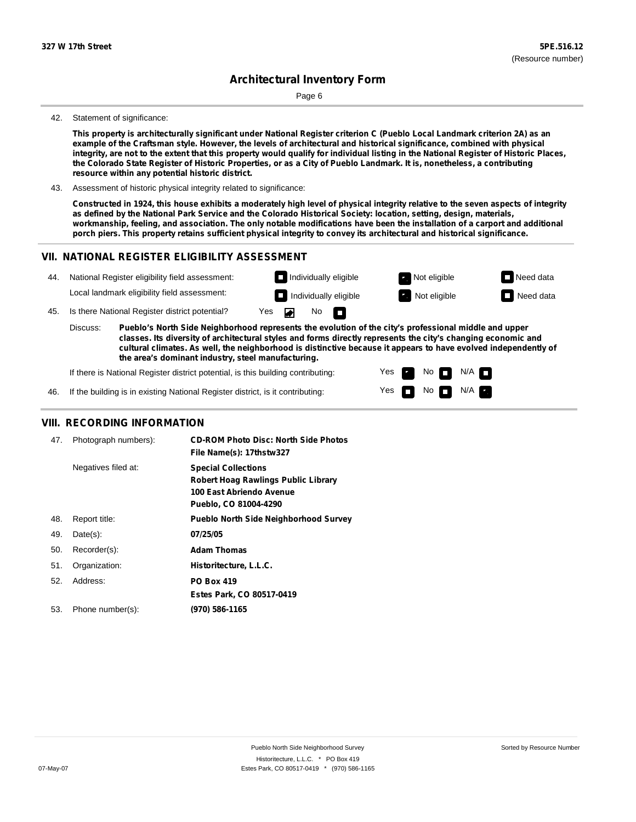Page 6

#### 42. Statement of significance:

This property is architecturally significant under National Register criterion C (Pueblo Local Landmark criterion 2A) as an example of the Craftsman style. However, the levels of architectural and historical significance, combined with physical integrity, are not to the extent that this property would qualify for individual listing in the National Register of Historic Places, the Colorado State Register of Historic Properties, or as a City of Pueblo Landmark. It is, nonetheless, a contributing **resource within any potential historic district.**

43. Assessment of historic physical integrity related to significance:

Constructed in 1924, this house exhibits a moderately high level of physical integrity relative to the seven aspects of integrity as defined by the National Park Service and the Colorado Historical Society: location, setting, design, materials, workmanship, feeling, and association. The only notable modifications have been the installation of a carport and additional porch piers. This property retains sufficient physical integrity to convey its architectural and historical significance.

> Yes Yes

No

No  $\blacksquare$  N/A

 $N/A$ 

#### **VII. NATIONAL REGISTER ELIGIBILITY ASSESSMENT**



**the area's dominant industry, steel manufacturing.**

If there is National Register district potential, is this building contributing:

If the building is in existing National Register district, is it contributing: 46.

### **VIII. RECORDING INFORMATION**

| 47. | Photograph numbers): | <b>CD-ROM Photo Disc: North Side Photos</b><br>File Name(s): 17thstw327                                                       |
|-----|----------------------|-------------------------------------------------------------------------------------------------------------------------------|
|     | Negatives filed at:  | <b>Special Collections</b><br><b>Robert Hoag Rawlings Public Library</b><br>100 East Abriendo Avenue<br>Pueblo, CO 81004-4290 |
| 48. | Report title:        | <b>Pueblo North Side Neighborhood Survey</b>                                                                                  |
| 49. | $Date(s)$ :          | 07/25/05                                                                                                                      |
| 50. | Recorder(s):         | <b>Adam Thomas</b>                                                                                                            |
| 51. | Organization:        | Historitecture, L.L.C.                                                                                                        |
| 52. | Address:             | <b>PO Box 419</b>                                                                                                             |
|     |                      | Estes Park, CO 80517-0419                                                                                                     |
| 53. | Phone number(s):     | (970) 586-1165                                                                                                                |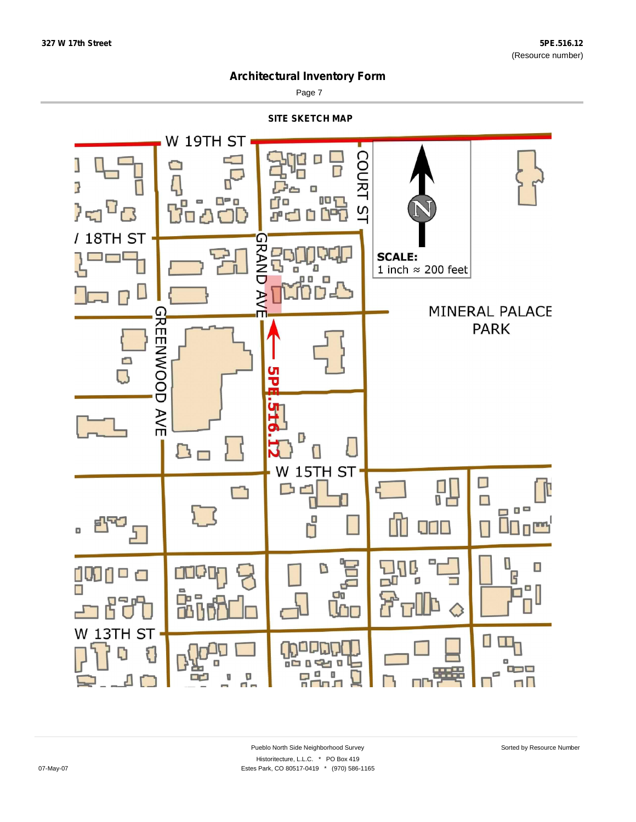Sorted by Resource Number



Page 7